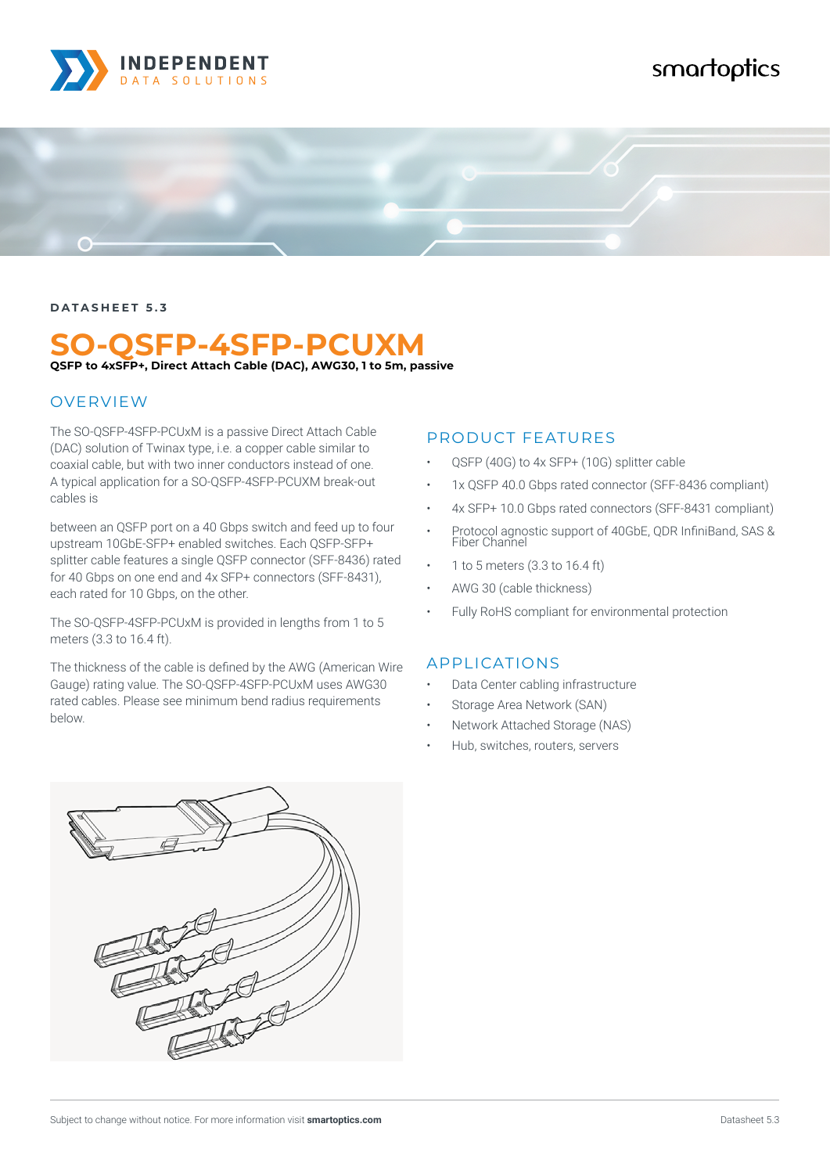

## smartoptics



#### **DATASHEET 5.3**

# **SO-QSFP-4SFP-PCUXM**

**QSFP to 4xSFP+, Direct Attach Cable (DAC), AWG30, 1 to 5m, passive**

#### **OVERVIEW**

The SO-QSFP-4SFP-PCUxM is a passive Direct Attach Cable (DAC) solution of Twinax type, i.e. a copper cable similar to coaxial cable, but with two inner conductors instead of one. A typical application for a SO-QSFP-4SFP-PCUXM break-out cables is

between an QSFP port on a 40 Gbps switch and feed up to four upstream 10GbE-SFP+ enabled switches. Each QSFP-SFP+ splitter cable features a single QSFP connector (SFF-8436) rated for 40 Gbps on one end and 4x SFP+ connectors (SFF-8431), each rated for 10 Gbps, on the other.

The SO-QSFP-4SFP-PCUxM is provided in lengths from 1 to 5 meters (3.3 to 16.4 ft).

The thickness of the cable is defined by the AWG (American Wire Gauge) rating value. The SO-QSFP-4SFP-PCUxM uses AWG30 rated cables. Please see minimum bend radius requirements below.

#### PRODUCT FEATURES

- QSFP (40G) to 4x SFP+ (10G) splitter cable
- 1x QSFP 40.0 Gbps rated connector (SFF-8436 compliant)
- 4x SFP+ 10.0 Gbps rated connectors (SFF-8431 compliant)
- Protocol agnostic support of 40GbE, QDR InfiniBand, SAS & Fiber Channel
- 1 to 5 meters (3.3 to 16.4 ft)
- AWG 30 (cable thickness)
- Fully RoHS compliant for environmental protection

#### APPLICATIONS

- Data Center cabling infrastructure
- Storage Area Network (SAN)
- Network Attached Storage (NAS)
- Hub, switches, routers, servers